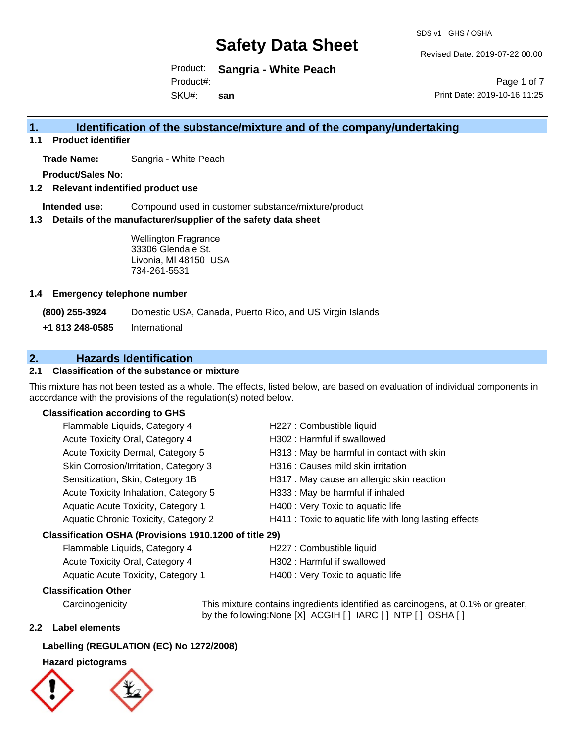SDS v1 GHS / OSHA

Revised Date: 2019-07-22 00:00

Product: **Sangria - White Peach** SKU#: Product#: **san**

Page 1 of 7 Print Date: 2019-10-16 11:25

## **1. Identification of the substance/mixture and of the company/undertaking**

**1.1 Product identifier**

**Trade Name:** Sangria - White Peach

**Product/Sales No:**

**1.2 Relevant indentified product use**

**Intended use:** Compound used in customer substance/mixture/product

**1.3 Details of the manufacturer/supplier of the safety data sheet**

Wellington Fragrance 33306 Glendale St. Livonia, MI 48150 USA 734-261-5531

## **1.4 Emergency telephone number**

**(800) 255-3924** Domestic USA, Canada, Puerto Rico, and US Virgin Islands

**+1 813 248-0585** International

## **2. Hazards Identification**

## **2.1 Classification of the substance or mixture**

This mixture has not been tested as a whole. The effects, listed below, are based on evaluation of individual components in accordance with the provisions of the regulation(s) noted below.

## **Classification according to GHS**

| Flammable Liquids, Category 4                          | H227 : Combustible liquid                              |
|--------------------------------------------------------|--------------------------------------------------------|
| Acute Toxicity Oral, Category 4                        | H302: Harmful if swallowed                             |
| Acute Toxicity Dermal, Category 5                      | H313 : May be harmful in contact with skin             |
| Skin Corrosion/Irritation, Category 3                  | H316 : Causes mild skin irritation                     |
| Sensitization, Skin, Category 1B                       | H317 : May cause an allergic skin reaction             |
| Acute Toxicity Inhalation, Category 5                  | H333: May be harmful if inhaled                        |
| Aquatic Acute Toxicity, Category 1                     | H400 : Very Toxic to aquatic life                      |
| Aquatic Chronic Toxicity, Category 2                   | H411 : Toxic to aquatic life with long lasting effects |
| Classification OSHA (Provisions 1910.1200 of title 29) |                                                        |

| Flammable Liquids, Category 4      | H227 : Combustible liquid         |
|------------------------------------|-----------------------------------|
| Acute Toxicity Oral, Category 4    | H302 : Harmful if swallowed       |
| Aquatic Acute Toxicity, Category 1 | H400 : Very Toxic to aquatic life |

## **Classification Other**

Carcinogenicity This mixture contains ingredients identified as carcinogens, at 0.1% or greater, by the following:None [X] ACGIH [ ] IARC [ ] NTP [ ] OSHA [ ]

## **2.2 Label elements**

## **Labelling (REGULATION (EC) No 1272/2008)**

## **Hazard pictograms**



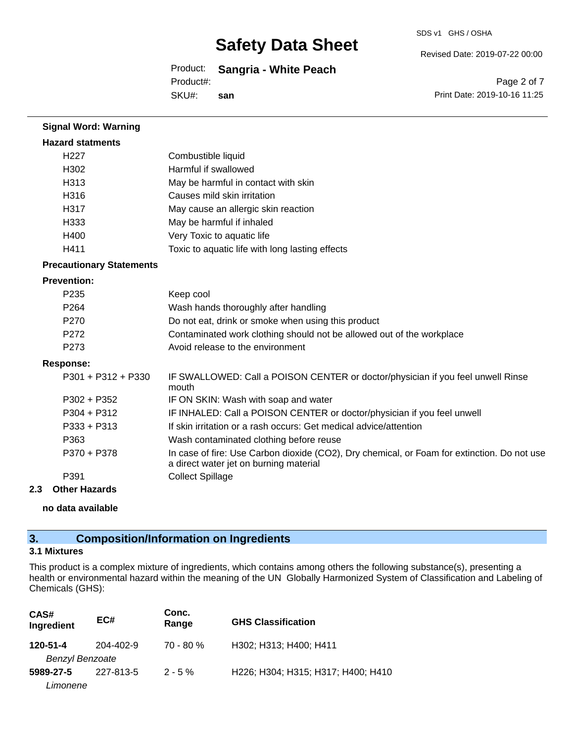Revised Date: 2019-07-22 00:00

Product: **Sangria - White Peach** SKU#: Product#: **san**

Page 2 of 7 Print Date: 2019-10-16 11:25

| <b>Signal Word: Warning</b>     |                                                                                                                                       |
|---------------------------------|---------------------------------------------------------------------------------------------------------------------------------------|
| <b>Hazard statments</b>         |                                                                                                                                       |
| H <sub>227</sub>                | Combustible liquid                                                                                                                    |
| H302                            | Harmful if swallowed                                                                                                                  |
| H313                            | May be harmful in contact with skin                                                                                                   |
| H316                            | Causes mild skin irritation                                                                                                           |
| H317                            | May cause an allergic skin reaction                                                                                                   |
| H333                            | May be harmful if inhaled                                                                                                             |
| H400                            | Very Toxic to aquatic life                                                                                                            |
| H411                            | Toxic to aquatic life with long lasting effects                                                                                       |
| <b>Precautionary Statements</b> |                                                                                                                                       |
| <b>Prevention:</b>              |                                                                                                                                       |
| P <sub>235</sub>                | Keep cool                                                                                                                             |
| P <sub>264</sub>                | Wash hands thoroughly after handling                                                                                                  |
| P270                            | Do not eat, drink or smoke when using this product                                                                                    |
| P <sub>272</sub>                | Contaminated work clothing should not be allowed out of the workplace                                                                 |
| P273                            | Avoid release to the environment                                                                                                      |
| <b>Response:</b>                |                                                                                                                                       |
| P301 + P312 + P330              | IF SWALLOWED: Call a POISON CENTER or doctor/physician if you feel unwell Rinse<br>mouth                                              |
| $P302 + P352$                   | IF ON SKIN: Wash with soap and water                                                                                                  |
| $P304 + P312$                   | IF INHALED: Call a POISON CENTER or doctor/physician if you feel unwell                                                               |
| $P333 + P313$                   | If skin irritation or a rash occurs: Get medical advice/attention                                                                     |
| P363                            | Wash contaminated clothing before reuse                                                                                               |
| P370 + P378                     | In case of fire: Use Carbon dioxide (CO2), Dry chemical, or Foam for extinction. Do not use<br>a direct water jet on burning material |
| P391                            | <b>Collect Spillage</b>                                                                                                               |
| <b>Other Hazards</b><br>2.3     |                                                                                                                                       |
|                                 |                                                                                                                                       |

**no data available**

# **3. Composition/Information on Ingredients**

## **3.1 Mixtures**

This product is a complex mixture of ingredients, which contains among others the following substance(s), presenting a health or environmental hazard within the meaning of the UN Globally Harmonized System of Classification and Labeling of Chemicals (GHS):

| CAS#<br>Ingredient     | EC#       | Conc.<br>Range | <b>GHS Classification</b>          |
|------------------------|-----------|----------------|------------------------------------|
| 120-51-4               | 204-402-9 | $70 - 80 \%$   | H302; H313; H400; H411             |
| <b>Benzyl Benzoate</b> |           |                |                                    |
| 5989-27-5              | 227-813-5 | $2 - 5%$       | H226; H304; H315; H317; H400; H410 |
| Limonene               |           |                |                                    |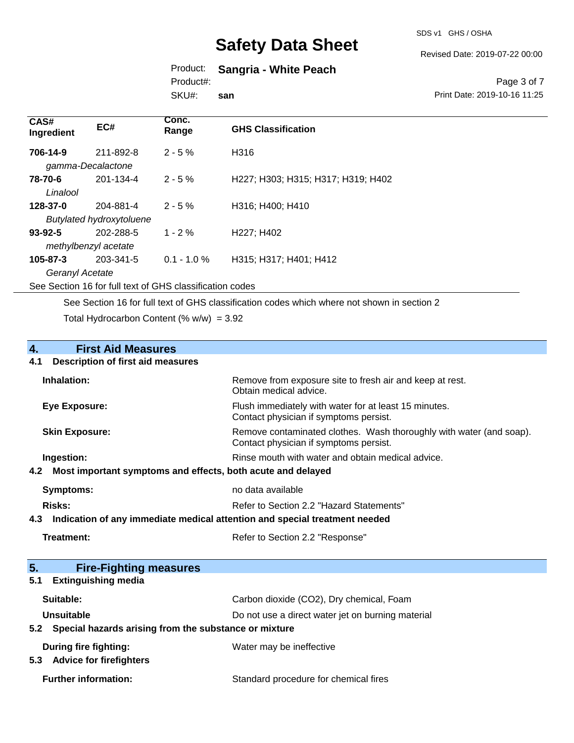SDS v1 GHS / OSHA

Revised Date: 2019-07-22 00:00

## Product: **Sangria - White Peach** Product#:

SKU#: **san**

Page 3 of 7 Print Date: 2019-10-16 11:25

| EC#       | Conc.<br>Range                                                                                  | <b>GHS Classification</b>          |
|-----------|-------------------------------------------------------------------------------------------------|------------------------------------|
| 211-892-8 | $2 - 5%$                                                                                        | H316                               |
| 201-134-4 | $2 - 5 \%$                                                                                      | H227; H303; H315; H317; H319; H402 |
| 204-881-4 | $2 - 5%$                                                                                        | H316; H400; H410                   |
| 202-288-5 | $1 - 2%$                                                                                        | H227; H402                         |
| 203-341-5 | $0.1 - 1.0 %$                                                                                   | H315; H317; H401; H412             |
|           | gamma-Decalactone<br><b>Butylated hydroxytoluene</b><br>methylbenzyl acetate<br>Geranyl Acetate |                                    |

See Section 16 for full text of GHS classification codes

See Section 16 for full text of GHS classification codes which where not shown in section 2

Total Hydrocarbon Content (%  $w/w$ ) = 3.92

# **4.** First Aid Measures<br>**4.1** Description of first aid meas

## **4.1 Description of first aid measures**

| Inhalation:                                                     | Remove from exposure site to fresh air and keep at rest.<br>Obtain medical advice.                            |
|-----------------------------------------------------------------|---------------------------------------------------------------------------------------------------------------|
| <b>Eye Exposure:</b>                                            | Flush immediately with water for at least 15 minutes.<br>Contact physician if symptoms persist.               |
| <b>Skin Exposure:</b>                                           | Remove contaminated clothes. Wash thoroughly with water (and soap).<br>Contact physician if symptoms persist. |
| Ingestion:                                                      | Rinse mouth with water and obtain medical advice.                                                             |
| 4.2 Most important symptoms and effects, both acute and delayed |                                                                                                               |
| Symptoms:                                                       | no data available                                                                                             |
| Risks:                                                          | Refer to Section 2.2 "Hazard Statements"                                                                      |
|                                                                 |                                                                                                               |

**4.3 Indication of any immediate medical attention and special treatment needed**

Refer to Section 2.2 "Response"

| 5.  | <b>Fire-Fighting measures</b>                         |                                                   |
|-----|-------------------------------------------------------|---------------------------------------------------|
| 5.1 | <b>Extinguishing media</b>                            |                                                   |
|     | Suitable:                                             | Carbon dioxide (CO2), Dry chemical, Foam          |
|     | <b>Unsuitable</b>                                     | Do not use a direct water jet on burning material |
| 5.2 | Special hazards arising from the substance or mixture |                                                   |
|     | During fire fighting:                                 | Water may be ineffective                          |
| 5.3 | <b>Advice for firefighters</b>                        |                                                   |
|     | <b>Further information:</b>                           | Standard procedure for chemical fires             |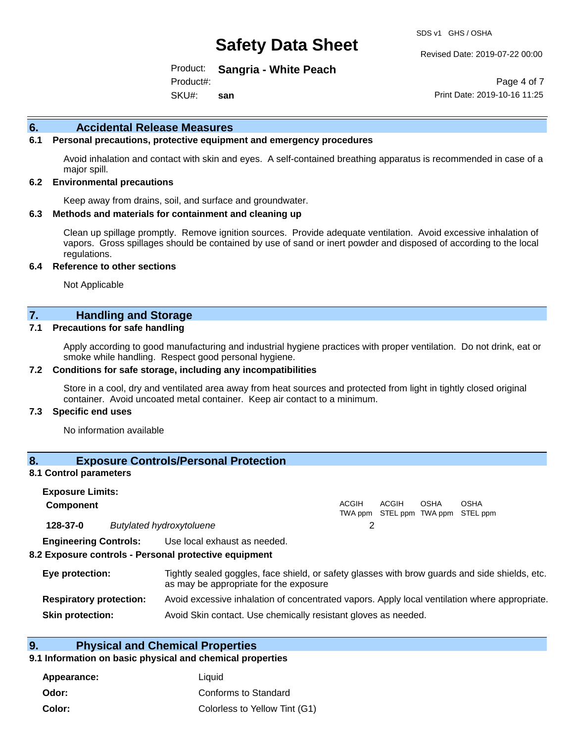Revised Date: 2019-07-22 00:00

Product: **Sangria - White Peach** SKU#: Product#: **san**

Page 4 of 7 Print Date: 2019-10-16 11:25

### **6. Accidental Release Measures**

### **6.1 Personal precautions, protective equipment and emergency procedures**

Avoid inhalation and contact with skin and eyes. A self-contained breathing apparatus is recommended in case of a major spill.

#### **6.2 Environmental precautions**

Keep away from drains, soil, and surface and groundwater.

#### **6.3 Methods and materials for containment and cleaning up**

Clean up spillage promptly. Remove ignition sources. Provide adequate ventilation. Avoid excessive inhalation of vapors. Gross spillages should be contained by use of sand or inert powder and disposed of according to the local regulations.

#### **6.4 Reference to other sections**

Not Applicable

## **7. Handling and Storage**

#### **7.1 Precautions for safe handling**

Apply according to good manufacturing and industrial hygiene practices with proper ventilation. Do not drink, eat or smoke while handling. Respect good personal hygiene.

#### **7.2 Conditions for safe storage, including any incompatibilities**

Store in a cool, dry and ventilated area away from heat sources and protected from light in tightly closed original container. Avoid uncoated metal container. Keep air contact to a minimum.

#### **7.3 Specific end uses**

No information available

## **8. Exposure Controls/Personal Protection**

#### **8.1 Control parameters**

| <b>Exposure Limits:</b> |                                                                                                                    |              |                                            |      |             |  |
|-------------------------|--------------------------------------------------------------------------------------------------------------------|--------------|--------------------------------------------|------|-------------|--|
| <b>Component</b>        |                                                                                                                    | <b>ACGIH</b> | ACGIH<br>TWA ppm STEL ppm TWA ppm STEL ppm | OSHA | <b>OSHA</b> |  |
| 128-37-0                | <b>Butylated hydroxytoluene</b>                                                                                    |              |                                            |      |             |  |
|                         | <b>Engineering Controls:</b> Use local exhaust as needed.<br>8.2 Exposure controls - Personal protective equipment |              |                                            |      |             |  |
| Eye protection:         | Tightly sealed goggles, face shield, or safety glasses with brow guards and side shields, etc.                     |              |                                            |      |             |  |

|                                | as may be appropriate for the exposure                                                        |
|--------------------------------|-----------------------------------------------------------------------------------------------|
| <b>Respiratory protection:</b> | Avoid excessive inhalation of concentrated vapors. Apply local ventilation where appropriate. |

**Skin protection:** Avoid Skin contact. Use chemically resistant gloves as needed.

## **9. Physical and Chemical Properties**

### **9.1 Information on basic physical and chemical properties**

| Appearance: | Liauid                        |
|-------------|-------------------------------|
| Odor:       | Conforms to Standard          |
| Color:      | Colorless to Yellow Tint (G1) |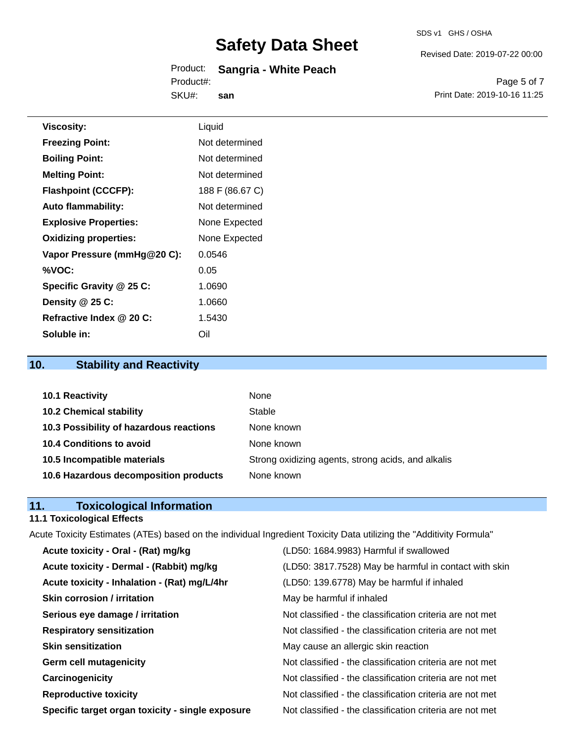#### Product: **Sangria - White Peach** SKU#: Product#: **san**

Revised Date: 2019-07-22 00:00

Page 5 of 7 Print Date: 2019-10-16 11:25

| <b>Viscosity:</b>            | Liquid          |
|------------------------------|-----------------|
| <b>Freezing Point:</b>       | Not determined  |
| <b>Boiling Point:</b>        | Not determined  |
| <b>Melting Point:</b>        | Not determined  |
| <b>Flashpoint (CCCFP):</b>   | 188 F (86.67 C) |
| <b>Auto flammability:</b>    | Not determined  |
| <b>Explosive Properties:</b> | None Expected   |
| <b>Oxidizing properties:</b> | None Expected   |
| Vapor Pressure (mmHg@20 C):  | 0.0546          |
| %VOC:                        | 0.05            |
| Specific Gravity @ 25 C:     | 1.0690          |
| Density @ 25 C:              | 1.0660          |
| Refractive Index @ 20 C:     | 1.5430          |

# **10. Stability and Reactivity**

**Soluble in:** Oil

| 10.1 Reactivity                         | <b>None</b>                                        |
|-----------------------------------------|----------------------------------------------------|
| <b>10.2 Chemical stability</b>          | Stable                                             |
| 10.3 Possibility of hazardous reactions | None known                                         |
| <b>10.4 Conditions to avoid</b>         | None known                                         |
| 10.5 Incompatible materials             | Strong oxidizing agents, strong acids, and alkalis |
| 10.6 Hazardous decomposition products   | None known                                         |

## **11. Toxicological Information**

## **11.1 Toxicological Effects**

Acute Toxicity Estimates (ATEs) based on the individual Ingredient Toxicity Data utilizing the "Additivity Formula"

| Acute toxicity - Oral - (Rat) mg/kg              | (LD50: 1684.9983) Harmful if swallowed                   |
|--------------------------------------------------|----------------------------------------------------------|
| Acute toxicity - Dermal - (Rabbit) mg/kg         | (LD50: 3817.7528) May be harmful in contact with skin    |
| Acute toxicity - Inhalation - (Rat) mg/L/4hr     | (LD50: 139.6778) May be harmful if inhaled               |
| <b>Skin corrosion / irritation</b>               | May be harmful if inhaled                                |
| Serious eye damage / irritation                  | Not classified - the classification criteria are not met |
| <b>Respiratory sensitization</b>                 | Not classified - the classification criteria are not met |
| <b>Skin sensitization</b>                        | May cause an allergic skin reaction                      |
| <b>Germ cell mutagenicity</b>                    | Not classified - the classification criteria are not met |
| Carcinogenicity                                  | Not classified - the classification criteria are not met |
| <b>Reproductive toxicity</b>                     | Not classified - the classification criteria are not met |
| Specific target organ toxicity - single exposure | Not classified - the classification criteria are not met |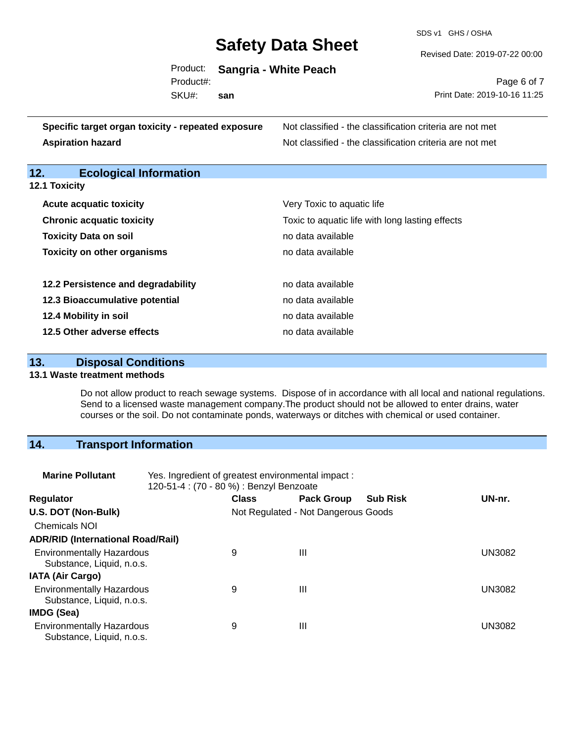SDS v1 GHS / OSHA

Revised Date: 2019-07-22 00:00

 $\overline{7}$ 

|           | Product: Sangria - White Peach |                              |
|-----------|--------------------------------|------------------------------|
| Product#: |                                | Page 6 of 7                  |
| SKU#:     | san                            | Print Date: 2019-10-16 11:25 |

| Specific target organ toxicity - repeated exposure | Not classified - the classification criteria are not met |
|----------------------------------------------------|----------------------------------------------------------|
| <b>Aspiration hazard</b>                           | Not classified - the classification criteria are not met |

## **12. Ecological Information**

## **12.1 Toxicity**

| <b>Acute acquatic toxicity</b>     | Very Toxic to aquatic life                      |
|------------------------------------|-------------------------------------------------|
| <b>Chronic acquatic toxicity</b>   | Toxic to aquatic life with long lasting effects |
| <b>Toxicity Data on soil</b>       | no data available                               |
| <b>Toxicity on other organisms</b> | no data available                               |
|                                    |                                                 |
| 12.2 Persistence and degradability | no data available                               |
| 12.3 Bioaccumulative potential     | no data available                               |
| 12.4 Mobility in soil              | no data available                               |
| 12.5 Other adverse effects         | no data available                               |

## **13. Disposal Conditions**

## **13.1 Waste treatment methods**

Do not allow product to reach sewage systems. Dispose of in accordance with all local and national regulations. Send to a licensed waste management company.The product should not be allowed to enter drains, water courses or the soil. Do not contaminate ponds, waterways or ditches with chemical or used container.

## **14. Transport Information**

| <b>Marine Pollutant</b>                                       | Yes. Ingredient of greatest environmental impact:<br>120-51-4 : (70 - 80 %) : Benzyl Benzoate |                                     |                   |                 |               |
|---------------------------------------------------------------|-----------------------------------------------------------------------------------------------|-------------------------------------|-------------------|-----------------|---------------|
| <b>Regulator</b>                                              |                                                                                               | <b>Class</b>                        | <b>Pack Group</b> | <b>Sub Risk</b> | UN-nr.        |
| U.S. DOT (Non-Bulk)                                           |                                                                                               | Not Regulated - Not Dangerous Goods |                   |                 |               |
| <b>Chemicals NOI</b>                                          |                                                                                               |                                     |                   |                 |               |
| <b>ADR/RID (International Road/Rail)</b>                      |                                                                                               |                                     |                   |                 |               |
| <b>Environmentally Hazardous</b><br>Substance, Liquid, n.o.s. |                                                                                               | 9                                   | $\mathbf{III}$    |                 | <b>UN3082</b> |
| <b>IATA (Air Cargo)</b>                                       |                                                                                               |                                     |                   |                 |               |
| <b>Environmentally Hazardous</b><br>Substance, Liquid, n.o.s. |                                                                                               | 9                                   | Ш                 |                 | <b>UN3082</b> |
| IMDG (Sea)                                                    |                                                                                               |                                     |                   |                 |               |
| <b>Environmentally Hazardous</b><br>Substance, Liquid, n.o.s. |                                                                                               | 9                                   | $\mathbf{III}$    |                 | <b>UN3082</b> |